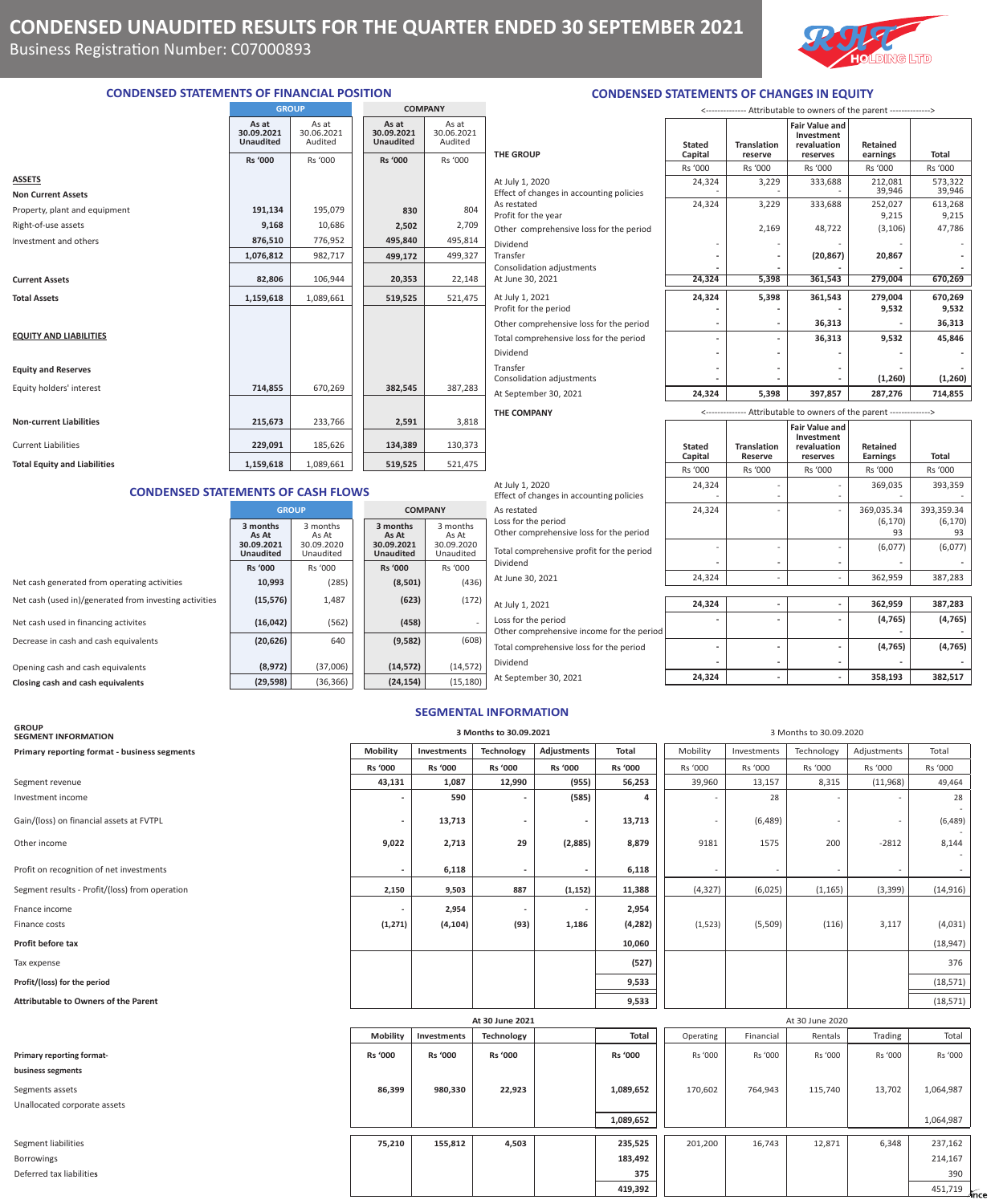

## **CONDENSED STATEMENTS OF FINANCIAL POSITION**

|                                     |                                         | <b>GROUP</b>                   |                                         | <b>COMPANY</b>                 |                                |  |  |
|-------------------------------------|-----------------------------------------|--------------------------------|-----------------------------------------|--------------------------------|--------------------------------|--|--|
|                                     | As at<br>30.09.2021<br><b>Unaudited</b> | As at<br>30.06.2021<br>Audited | As at<br>30.09.2021<br><b>Unaudited</b> | As at<br>30.06.2021<br>Audited |                                |  |  |
|                                     | <b>Rs '000</b>                          | Rs '000                        | <b>Rs '000</b>                          | Rs '000                        | <b>THE GR</b>                  |  |  |
| <b>ASSETS</b>                       |                                         |                                |                                         |                                | At July :                      |  |  |
| <b>Non Current Assets</b>           |                                         |                                |                                         |                                | Effect o                       |  |  |
| Property, plant and equipment       | 191,134                                 | 195,079                        | 830                                     | 804                            | As resta<br>Profit fo          |  |  |
| Right-of-use assets                 | 9,168                                   | 10,686                         | 2,502                                   | 2,709                          | Other o                        |  |  |
| Investment and others               | 876,510                                 | 776,952                        | 495,840                                 | 495,814                        | Dividen                        |  |  |
|                                     | 1,076,812                               | 982,717                        | 499,172                                 | 499,327                        | Transfer                       |  |  |
| <b>Current Assets</b>               | 82,806                                  | 106,944                        | 20,353                                  | 22,148                         | Consoli<br>At June             |  |  |
| <b>Total Assets</b>                 | 1,159,618                               | 1,089,661                      | 519,525                                 | 521,475                        | At July :<br>Profit fo         |  |  |
|                                     |                                         |                                |                                         |                                | Other c                        |  |  |
| <b>EQUITY AND LIABILITIES</b>       |                                         |                                |                                         |                                | Total co                       |  |  |
| <b>Equity and Reserves</b>          |                                         |                                |                                         |                                | Dividen<br>Transfer<br>Consoli |  |  |
| Equity holders' interest            | 714,855                                 | 670,269                        | 382,545                                 | 387,283                        | At Sept                        |  |  |
|                                     |                                         |                                |                                         |                                | THE CO                         |  |  |
| <b>Non-current Liabilities</b>      | 215,673                                 | 233,766                        | 2,591                                   | 3,818                          |                                |  |  |
| <b>Current Liabilities</b>          | 229,091                                 | 185,626                        | 134,389                                 | 130,373                        |                                |  |  |
| <b>Total Equity and Liabilities</b> | 1,159,618                               | 1,089,661                      | 519,525                                 | 521,475                        |                                |  |  |

|                       | <b>THE GROUP</b>                                                                                                                                                                                                             | S<br>Ċ |
|-----------------------|------------------------------------------------------------------------------------------------------------------------------------------------------------------------------------------------------------------------------|--------|
|                       |                                                                                                                                                                                                                              | R      |
| 1<br>J<br>1<br>7<br>3 | At July 1, 2020<br>Effect of changes in accounting policies<br>As restated<br>Profit for the year<br>Other comprehensive loss for the period<br>Dividend<br>Transfer<br><b>Consolidation adjustments</b><br>At June 30, 2021 |        |
| 5                     | At July 1, 2021<br>Profit for the period                                                                                                                                                                                     |        |
|                       | Other comprehensive loss for the period                                                                                                                                                                                      |        |
|                       | Total comprehensive loss for the period<br>Dividend                                                                                                                                                                          |        |
|                       | Transfer<br>Consolidation adjustments                                                                                                                                                                                        |        |
| 3                     | At September 30, 2021                                                                                                                                                                                                        |        |
| 3                     | <b>THE COMPANY</b>                                                                                                                                                                                                           |        |
|                       |                                                                                                                                                                                                                              |        |

| <b>THE GROUP</b>                                            | <b>Stated</b><br>Capital                                             | <b>Translation</b><br>reserve | <b>Fair Value and</b><br>Investment<br>revaluation<br>reserves | Retained<br>earnings | Total             |  |
|-------------------------------------------------------------|----------------------------------------------------------------------|-------------------------------|----------------------------------------------------------------|----------------------|-------------------|--|
|                                                             | Rs '000                                                              | Rs '000                       | Rs '000                                                        | Rs '000              | Rs '000           |  |
| At July 1, 2020<br>Effect of changes in accounting policies | 24,324                                                               | 3,229                         | 333,688                                                        | 212,081<br>39,946    | 573,322<br>39,946 |  |
| As restated<br>Profit for the year                          | 24,324                                                               | 3,229                         | 333,688                                                        | 252,027<br>9,215     | 613,268<br>9,215  |  |
| Other comprehensive loss for the period                     |                                                                      | 2,169                         | 48,722                                                         | (3, 106)             | 47,786            |  |
| Dividend<br>Transfer<br>Consolidation adjustments           |                                                                      |                               | (20, 867)                                                      | 20,867               |                   |  |
| At June 30, 2021                                            | 24,324                                                               | 5,398                         | 361,543                                                        | 279,004              | 670,269           |  |
| At July 1, 2021<br>Profit for the period                    | 24,324                                                               | 5,398                         | 361,543                                                        | 279,004<br>9,532     | 670,269<br>9,532  |  |
| Other comprehensive loss for the period                     |                                                                      |                               | 36,313                                                         |                      | 36,313            |  |
| Total comprehensive loss for the period                     |                                                                      |                               | 36,313                                                         | 9,532                | 45,846            |  |
| Dividend                                                    |                                                                      |                               |                                                                |                      |                   |  |
| Transfer<br>Consolidation adjustments                       |                                                                      |                               |                                                                | (1,260)              | (1,260)           |  |
| At September 30, 2021                                       | 24,324                                                               | 5,398                         | 397.857                                                        | 287,276              | 714,855           |  |
| THE COMPANY                                                 | <-------------- Attributable to owners of the parent --------------> |                               |                                                                |                      |                   |  |

<-------------- Attributable to owners of the parent -------------->

**CONDENSED STATEMENTS OF CHANGES IN EQUITY**

## **CONDENSED STATEMENTS OF CASH FLOWS**

|                                                        |                                                     | <b>GROUP</b>                                 |                                                     | <b>COMPANY</b>                               | As re                 |
|--------------------------------------------------------|-----------------------------------------------------|----------------------------------------------|-----------------------------------------------------|----------------------------------------------|-----------------------|
|                                                        | 3 months<br>As At<br>30.09.2021<br><b>Unaudited</b> | 3 months<br>As At<br>30.09.2020<br>Unaudited | 3 months<br>As At<br>30.09.2021<br><b>Unaudited</b> | 3 months<br>As At<br>30.09.2020<br>Unaudited | Loss<br>Othe<br>Total |
|                                                        | <b>Rs '000</b>                                      | Rs '000                                      | <b>Rs '000</b>                                      | Rs '000                                      | Divid                 |
| Net cash generated from operating activities           | 10,993                                              | (285)                                        | (8,501)                                             | (436)                                        | At Ju                 |
| Net cash (used in)/generated from investing activities | (15, 576)                                           | 1,487                                        | (623)                                               | (172)                                        | At Ju                 |
| Net cash used in financing activites                   | (16, 042)                                           | (562)                                        | (458)                                               |                                              | Loss<br>Othe          |
| Decrease in cash and cash equivalents                  | (20, 626)                                           | 640                                          | (9,582)                                             | (608)                                        | Total                 |
| Opening cash and cash equivalents                      | (8,972)                                             | (37,006)                                     | (14, 572)                                           | (14, 572)                                    | Divid                 |
| Closing cash and cash equivalents                      | (29, 598)                                           | (36, 366)                                    | (24, 154)                                           | (15, 180)                                    | At $S_6$              |

|                                                                               | KS UUU | <b>KS UUU</b>  | KS UUU | KS UUU                       | KS UUU                       |
|-------------------------------------------------------------------------------|--------|----------------|--------|------------------------------|------------------------------|
| At July 1, 2020<br>Effect of changes in accounting policies                   | 24,324 | -              |        | 369,035                      | 393,359                      |
| As restated<br>Loss for the period<br>Other comprehensive loss for the period | 24,324 |                |        | 369,035.34<br>(6, 170)<br>93 | 393,359.34<br>(6, 170)<br>93 |
| Total comprehensive profit for the period<br>Dividend                         |        |                |        | (6,077)                      | (6,077)                      |
| At June 30, 2021                                                              | 24,324 |                |        | 362,959                      | 387,283                      |
| At July 1, 2021                                                               | 24,324 | $\overline{a}$ |        | 362,959                      | 387,283                      |
| Loss for the period<br>Other comprehensive income for the period              |        |                |        | (4, 765)                     | (4, 765)                     |
| Total comprehensive loss for the period                                       |        |                |        | (4, 765)                     | (4, 765)                     |
| Dividend<br>At September 30, 2021                                             | 24,324 |                |        | 358,193                      | 382,517                      |

#### **Stated Capital Translation Reserve revaluation reserves Retained**  Earnings **Total** Rs '000 Rs '000 Rs '000 Rs '000 Rs '000 At July 1, 2020 24,324 | 24,324 | 24,324 | 24,324 | 369,035 | 393,359 Effect of changes in accounting policies  $\begin{vmatrix} 1 & 1 & 1 \\ 1 & 1 & 1 \\ 1 & 1 & 1 \end{vmatrix}$   $\begin{vmatrix} -1 & 1 & 1 \\ -1 & 1 & 1 \\ 1 & 1 & 1 \end{vmatrix}$  $\begin{array}{|c|c|c|c|c|}\n\hline\n24,324 & - & - & 369,035.34 & 393,359.34 \\
\hline\n6,170 & 6,170 & 6,170\n\end{array}$ Loss for the period  $(6,170)$  (6,170) (6,170) Other comprehensive loss for the period and the set of the period of the period of the set of the period of the set of the period of the set of the set of the set of the set of the set of the set of the set of the set of t Total comprehensive profit for the period  $\begin{vmatrix} 1 & 1 \end{vmatrix}$   $\begin{vmatrix} 1 & 1 \end{vmatrix}$   $\begin{vmatrix} 6,077 \end{vmatrix}$  (6,077) (6,077) Dividend **- - - - -**  At June 30, 2021 24,324 - - 362,959 387,283 At July 1, 2021 **24,324 - 24,324 - - 362,959 - 387,28**3 Loss for the period **and the contract of the contract of the contract of the contract of the contract of the contract of the contract of the contract of the contract of the contract of the contract of the contract of the c** Other comprehensive income for the period **and the set of the set of the set of the set of the set of the period**

**Fair Value and Investment** 

### **SEGMENTAL INFORMATION**

| <b>GROUP</b><br><b>SEGMENT INFORMATION</b>     | 3 Months to 30.09.2021<br>3 Months to 30.09.2020 |                |                 |                          |                |                          |             |                 |                          |           |                     |
|------------------------------------------------|--------------------------------------------------|----------------|-----------------|--------------------------|----------------|--------------------------|-------------|-----------------|--------------------------|-----------|---------------------|
| Primary reporting format - business segments   | <b>Mobility</b>                                  | Investments    | Technology      | <b>Adjustments</b>       | Total          | Mobility                 | Investments | Technology      | Adjustments              | Total     |                     |
|                                                | Rs '000                                          | <b>Rs '000</b> | Rs '000         | Rs '000                  | Rs '000        | Rs '000                  | Rs '000     | Rs '000         | Rs '000                  | Rs '000   |                     |
| Segment revenue                                | 43,131                                           | 1,087          | 12,990          | (955)                    | 56,253         | 39,960                   | 13,157      | 8,315           | (11,968)                 | 49,464    |                     |
| Investment income                              |                                                  | 590            |                 | (585)                    | 4              |                          | 28          |                 |                          | 28        |                     |
| Gain/(loss) on financial assets at FVTPL       |                                                  | 13,713         |                 | $\overline{\phantom{a}}$ | 13,713         | $\overline{\phantom{a}}$ | (6, 489)    |                 | $\overline{\phantom{0}}$ | (6, 489)  |                     |
| Other income                                   | 9,022                                            | 2,713          | 29              | (2,885)                  | 8,879          | 9181                     | 1575        | 200             | $-2812$                  | 8,144     |                     |
| Profit on recognition of net investments       |                                                  | 6,118          |                 |                          | 6,118          |                          |             |                 |                          |           |                     |
| Segment results - Profit/(loss) from operation | 2,150                                            | 9,503          | 887             | (1, 152)                 | 11,388         | (4, 327)                 | (6,025)     | (1, 165)        | (3, 399)                 | (14, 916) |                     |
| Fnance income                                  |                                                  | 2,954          |                 |                          | 2,954          |                          |             |                 |                          |           |                     |
| Finance costs                                  | (1, 271)                                         | (4, 104)       | (93)            | 1,186                    | (4, 282)       | (1, 523)                 | (5,509)     | (116)           | 3,117                    | (4,031)   |                     |
| Profit before tax                              |                                                  |                |                 |                          | 10,060         |                          |             |                 |                          | (18, 947) |                     |
| Tax expense                                    |                                                  |                |                 |                          | (527)          |                          |             |                 |                          | 376       |                     |
| Profit/(loss) for the period                   |                                                  |                |                 |                          | 9,533          |                          |             |                 |                          | (18, 571) |                     |
| <b>Attributable to Owners of the Parent</b>    |                                                  |                |                 |                          | 9,533          |                          |             |                 |                          | (18, 571) |                     |
|                                                |                                                  |                | At 30 June 2021 |                          |                |                          |             | At 30 June 2020 |                          |           |                     |
|                                                | Mobility                                         | Investments    | Technology      |                          | Total          | Operating                | Financial   | Rentals         | Trading                  | Total     |                     |
| Primary reporting format-                      | <b>Rs '000</b>                                   | <b>Rs '000</b> | <b>Rs '000</b>  |                          | <b>Rs '000</b> | Rs '000                  | Rs '000     | Rs '000         | Rs '000                  | Rs '000   |                     |
| business segments                              |                                                  |                |                 |                          |                |                          |             |                 |                          |           |                     |
| Segments assets                                | 86,399                                           | 980,330        | 22,923          |                          | 1,089,652      | 170,602                  | 764,943     | 115,740         | 13,702                   | 1,064,987 |                     |
| Unallocated corporate assets                   |                                                  |                |                 |                          |                |                          |             |                 |                          |           |                     |
|                                                |                                                  |                |                 |                          | 1,089,652      |                          |             |                 |                          | 1,064,987 |                     |
| Segment liabilities                            | 75,210                                           | 155,812        | 4,503           |                          | 235,525        | 201,200                  | 16,743      | 12,871          | 6,348                    | 237,162   |                     |
| <b>Borrowings</b>                              |                                                  |                |                 |                          | 183,492        |                          |             |                 |                          | 214,167   |                     |
| Deferred tax liabilities                       |                                                  |                |                 |                          | 375            |                          |             |                 |                          | 390       |                     |
|                                                |                                                  |                |                 |                          | 419,392        |                          |             |                 |                          | 451,719   | <i><b>Tince</b></i> |